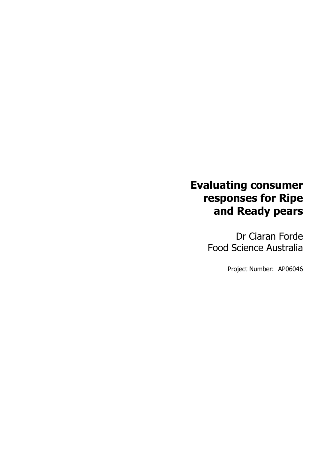# **Evaluating consumer responses for Ripe and Ready pears**

Dr Ciaran Forde Food Science Australia

Project Number: AP06046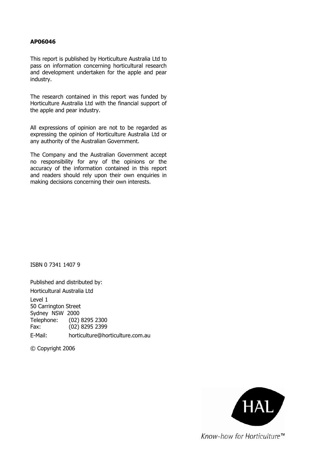### **AP06046**

This report is published by Horticulture Australia Ltd to pass on information concerning horticultural research and development undertaken for the apple and pear industry.

The research contained in this report was funded by Horticulture Australia Ltd with the financial support of the apple and pear industry.

All expressions of opinion are not to be regarded as expressing the opinion of Horticulture Australia Ltd or any authority of the Australian Government.

The Company and the Australian Government accept no responsibility for any of the opinions or the accuracy of the information contained in this report and readers should rely upon their own enquiries in making decisions concerning their own interests.

ISBN 0 7341 1407 9

Published and distributed by: Horticultural Australia Ltd Level 1 50 Carrington Street Sydney NSW 2000 Telephone: (02) 8295 2300 Fax: (02) 8295 2399 E-Mail: horticulture@horticulture.com.au

© Copyright 2006

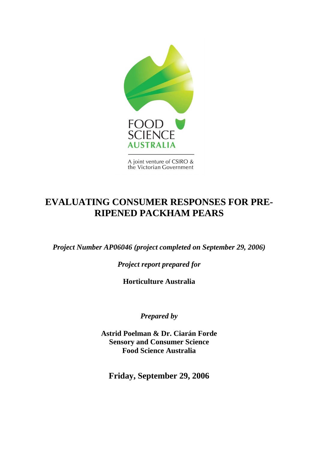

A joint venture of CSIRO & the Victorian Government

## **EVALUATING CONSUMER RESPONSES FOR PRE-RIPENED PACKHAM PEARS**

*Project Number AP06046 (project completed on September 29, 2006)*

*Project report prepared for* 

**Horticulture Australia** 

*Prepared by* 

**Astrid Poelman & Dr. Ciarán Forde Sensory and Consumer Science Food Science Australia** 

**Friday, September 29, 2006**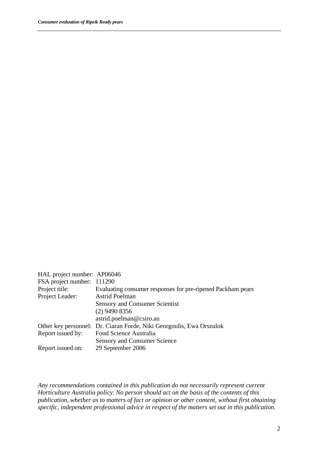| HAL project number: AP06046 |                                                                      |
|-----------------------------|----------------------------------------------------------------------|
| FSA project number: 111290  |                                                                      |
| Project title:              | Evaluating consumer responses for pre-ripened Packham pears          |
| Project Leader:             | <b>Astrid Poelman</b>                                                |
|                             | <b>Sensory and Consumer Scientist</b>                                |
|                             | $(2)$ 9490 8356                                                      |
|                             | astrid.poelman@csiro.au                                              |
|                             | Other key personnel: Dr. Ciaran Forde, Niki Georgoulis, Ewa Orszulok |
| Report issued by:           | Food Science Australia                                               |
|                             | <b>Sensory and Consumer Science</b>                                  |
| Report issued on:           | 29 September 2006                                                    |

*Any recommendations contained in this publication do not necessarily represent current Horticulture Australia policy. No person should act on the basis of the contents of this publication, whether as to matters of fact or opinion or other content, without first obtaining specific, independent professional advice in respect of the matters set out in this publication.*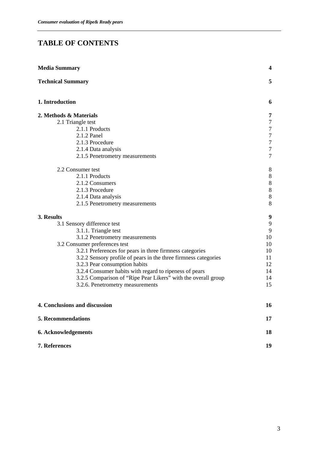## **TABLE OF CONTENTS**

| <b>Media Summary</b>                                            |                  |
|-----------------------------------------------------------------|------------------|
| <b>Technical Summary</b>                                        | 5                |
| 1. Introduction                                                 | 6                |
| 2. Methods & Materials                                          | 7                |
| 2.1 Triangle test                                               | $\overline{7}$   |
| 2.1.1 Products                                                  | $\tau$           |
| 2.1.2 Panel                                                     | $\tau$           |
| 2.1.3 Procedure                                                 | $\boldsymbol{7}$ |
| 2.1.4 Data analysis                                             | $\tau$           |
| 2.1.5 Penetrometry measurements                                 | $\tau$           |
| 2.2 Consumer test                                               | 8                |
| 2.1.1 Products                                                  | $8\,$            |
| 2.1.2 Consumers                                                 | $8\,$            |
| 2.1.3 Procedure                                                 | $8\,$            |
| 2.1.4 Data analysis                                             | $8\,$            |
| 2.1.5 Penetrometry measurements                                 | $8\,$            |
| 3. Results                                                      | 9                |
| 3.1 Sensory difference test                                     | 9                |
| 3.1.1. Triangle test                                            | 9                |
| 3.1.2 Penetrometry measurements                                 | 10               |
| 3.2 Consumer preferences test                                   | 10               |
| 3.2.1 Preferences for pears in three firmness categories        | 10               |
| 3.2.2 Sensory profile of pears in the three firmness categories | 11               |
| 3.2.3 Pear consumption habits                                   | 12               |
| 3.2.4 Consumer habits with regard to ripeness of pears          | 14               |
| 3.2.5 Comparison of "Ripe Pear Likers" with the overall group   | 14               |
| 3.2.6. Penetrometry measurements                                | 15               |
| 4. Conclusions and discussion                                   | 16               |
| 5. Recommendations                                              | 17               |
| 6. Acknowledgements                                             | 18               |
| 7. References                                                   | 19               |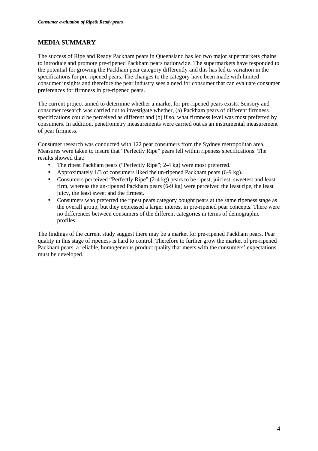### **MEDIA SUMMARY**

The success of Ripe and Ready Packham pears in Queensland has led two major supermarkets chains to introduce and promote pre-ripened Packham pears nationwide. The supermarkets have responded to the potential for growing the Packham pear category differently and this has led to variation in the specifications for pre-ripened pears. The changes to the category have been made with limited consumer insights and therefore the pear industry sees a need for consumer that can evaluate consumer preferences for firmness in pre-ripened pears.

The current project aimed to determine whether a market for pre-ripened pears exists. Sensory and consumer research was carried out to investigate whether, (a) Packham pears of different firmness specifications could be perceived as different and (b) if so, what firmness level was most preferred by consumers. In addition, penetrometry measurements were carried out as an instrumental measurement of pear firmness.

Consumer research was conducted with 122 pear consumers from the Sydney metropolitan area. Measures were taken to insure that "Perfectly Ripe" pears fell within ripeness specifications. The results showed that:

- The ripest Packham pears ("Perfectly Ripe"; 2-4 kg) were most preferred.
- Approximately 1/3 of consumers liked the un-ripened Packham pears (6-9 kg).
- Consumers perceived "Perfectly Ripe" (2-4 kg) pears to be ripest, juiciest, sweetest and least firm, whereas the un-ripened Packham pears (6-9 kg) were perceived the least ripe, the least juicy, the least sweet and the firmest.
- Consumers who preferred the ripest pears category bought pears at the same ripeness stage as the overall group, but they expressed a larger interest in pre-ripened pear concepts. There were no differences between consumers of the different categories in terms of demographic profiles.

The findings of the current study suggest there may be a market for pre-ripened Packham pears. Pear quality in this stage of ripeness is hard to control. Therefore to further grow the market of pre-ripened Packham pears, a reliable, homogeneous product quality that meets with the consumers' expectations, must be developed.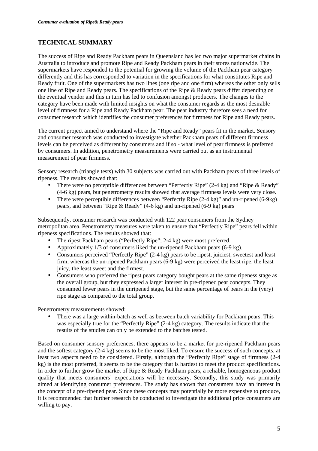### **TECHNICAL SUMMARY**

The success of Ripe and Ready Packham pears in Queensland has led two major supermarket chains in Australia to introduce and promote Ripe and Ready Packham pears in their stores nationwide. The supermarkets have responded to the potential for growing the volume of the Packham pear category differently and this has corresponded to variation in the specifications for what constitutes Ripe and Ready fruit. One of the supermarkets has two lines (one ripe and one firm) whereas the other only sells one line of Ripe and Ready pears. The specifications of the Ripe & Ready pears differ depending on the eventual vendor and this in turn has led to confusion amongst producers. The changes to the category have been made with limited insights on what the consumer regards as the most desirable level of firmness for a Ripe and Ready Packham pear. The pear industry therefore sees a need for consumer research which identifies the consumer preferences for firmness for Ripe and Ready pears.

The current project aimed to understand where the "Ripe and Ready" pears fit in the market. Sensory and consumer research was conducted to investigate whether Packham pears of different firmness levels can be perceived as different by consumers and if so - what level of pear firmness is preferred by consumers. In addition, penetrometry measurements were carried out as an instrumental measurement of pear firmness.

Sensory research (triangle tests) with 30 subjects was carried out with Packham pears of three levels of ripeness. The results showed that:

- There were no perceptible differences between "Perfectly Ripe" (2-4 kg) and "Ripe & Ready" (4-6 kg) pears, but penetrometry results showed that average firmness levels were very close.
- There were perceptible differences between "Perfectly Ripe (2-4 kg)" and un-ripened (6-9kg) pears, and between "Ripe & Ready" (4-6 kg) and un-ripened (6-9 kg) pears

Subsequently, consumer research was conducted with 122 pear consumers from the Sydney metropolitan area. Penetrometry measures were taken to ensure that "Perfectly Ripe" pears fell within ripeness specifications. The results showed that:

- The ripest Packham pears ("Perfectly Ripe"; 2-4 kg) were most preferred.
- Approximately 1/3 of consumers liked the un-ripened Packham pears (6-9 kg).
- Consumers perceived "Perfectly Ripe" (2-4 kg) pears to be ripest, juiciest, sweetest and least firm, whereas the un-ripened Packham pears (6-9 kg) were perceived the least ripe, the least juicy, the least sweet and the firmest.
- Consumers who preferred the ripest pears category bought pears at the same ripeness stage as the overall group, but they expressed a larger interest in pre-ripened pear concepts. They consumed fewer pears in the unripened stage, but the same percentage of pears in the (very) ripe stage as compared to the total group.

Penetrometry measurements showed:

• There was a large within-batch as well as between batch variability for Packham pears. This was especially true for the "Perfectly Ripe" (2-4 kg) category. The results indicate that the results of the studies can only be extended to the batches tested.

Based on consumer sensory preferences, there appears to be a market for pre-ripened Packham pears and the softest category (2-4 kg) seems to be the most liked. To ensure the success of such concepts, at least two aspects need to be considered. Firstly, although the "Perfectly Ripe" stage of firmness (2-4 kg) is the most preferred, it seems to be the category that is hardest to meet the product specifications. In order to further grow the market of Ripe & Ready Packham pears, a reliable, homogeneous product quality that meets consumers' expectations will be necessary. Secondly, this study was primarily aimed at identifying consumer preferences. The study has shown that consumers have an interest in the concept of a pre-ripened pear. Since these concepts may potentially be more expensive to produce, it is recommended that further research be conducted to investigate the additional price consumers are willing to pay.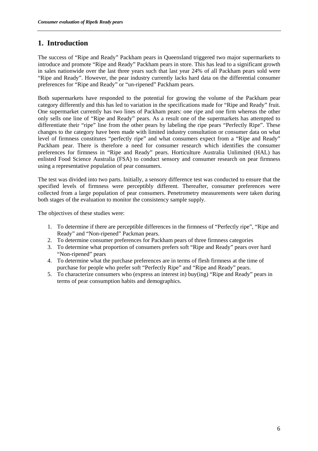### **1. Introduction**

The success of "Ripe and Ready" Packham pears in Queensland triggered two major supermarkets to introduce and promote "Ripe and Ready" Packham pears in store. This has lead to a significant growth in sales nationwide over the last three years such that last year 24% of all Packham pears sold were "Ripe and Ready". However, the pear industry currently lacks hard data on the differential consumer preferences for "Ripe and Ready" or "un-ripened" Packham pears.

Both supermarkets have responded to the potential for growing the volume of the Packham pear category differently and this has led to variation in the specifications made for "Ripe and Ready" fruit. One supermarket currently has two lines of Packham pears: one ripe and one firm whereas the other only sells one line of "Ripe and Ready" pears. As a result one of the supermarkets has attempted to differentiate their "ripe" line from the other pears by labeling the ripe pears "Perfectly Ripe". These changes to the category have been made with limited industry consultation or consumer data on what level of firmness constitutes "perfectly ripe" and what consumers expect from a "Ripe and Ready" Packham pear. There is therefore a need for consumer research which identifies the consumer preferences for firmness in "Ripe and Ready" pears. Horticulture Australia Unlimited (HAL) has enlisted Food Science Australia (FSA) to conduct sensory and consumer research on pear firmness using a representative population of pear consumers.

The test was divided into two parts. Initially, a sensory difference test was conducted to ensure that the specified levels of firmness were perceptibly different. Thereafter, consumer preferences were collected from a large population of pear consumers. Penetrometry measurements were taken during both stages of the evaluation to monitor the consistency sample supply.

The objectives of these studies were:

- 1. To determine if there are perceptible differences in the firmness of "Perfectly ripe", "Ripe and Ready" and "Non-ripened" Packman pears.
- 2. To determine consumer preferences for Packham pears of three firmness categories
- 3. To determine what proportion of consumers prefers soft "Ripe and Ready" pears over hard "Non-ripened" pears
- 4. To determine what the purchase preferences are in terms of flesh firmness at the time of purchase for people who prefer soft "Perfectly Ripe" and "Ripe and Ready" pears.
- 5. To characterize consumers who (express an interest in) buy(ing) "Ripe and Ready" pears in terms of pear consumption habits and demographics.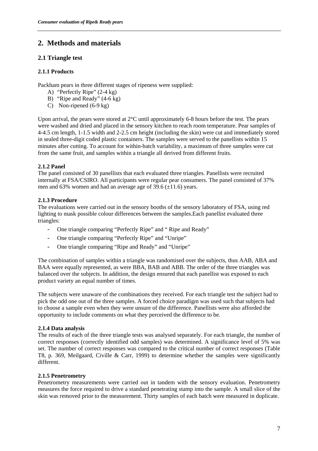### **2. Methods and materials**

### **2.1 Triangle test**

### **2.1.1 Products**

Packham pears in three different stages of ripeness were supplied:

- A) "Perfectly Ripe" (2-4 kg)
- B) "Ripe and Ready" (4-6 kg)
- C) Non-ripened (6-9 kg)

Upon arrival, the pears were stored at 2°C until approximately 6-8 hours before the test. The pears were washed and dried and placed in the sensory kitchen to reach room temperature. Pear samples of 4-4.5 cm length, 1-1.5 width and 2-2.5 cm height (including the skin) were cut and immediately stored in sealed three-digit coded plastic containers. The samples were served to the panellists within 15 minutes after cutting. To account for within-batch variability, a maximum of three samples were cut from the same fruit, and samples within a triangle all derived from different fruits.

### **2.1.2 Panel**

The panel consisted of 30 panellists that each evaluated three triangles. Panellists were recruited internally at FSA/CSIRO. All participants were regular pear consumers. The panel consisted of 37% men and 63% women and had an average age of 39.6  $(\pm 11.6)$  years.

### **2.1.3 Procedure**

The evaluations were carried out in the sensory booths of the sensory laboratory of FSA, using red lighting to mask possible colour differences between the samples.Each panellist evaluated three triangles:

- One triangle comparing "Perfectly Ripe" and " Ripe and Ready"
- One triangle comparing "Perfectly Ripe" and "Unripe"
- One triangle comparing "Ripe and Ready" and "Unripe"

The combination of samples within a triangle was randomised over the subjects, thus AAB, ABA and BAA were equally represented, as were BBA, BAB and ABB. The order of the three triangles was balanced over the subjects. In addition, the design ensured that each panellist was exposed to each product variety an equal number of times.

The subjects were unaware of the combinations they received. For each triangle test the subject had to pick the odd one out of the three samples. A forced choice paradigm was used such that subjects had to choose a sample even when they were unsure of the difference. Panellists were also afforded the opportunity to include comments on what they perceived the difference to be.

### **2.1.4 Data analysis**

The results of each of the three triangle tests was analysed separately. For each triangle, the number of correct responses (correctly identified odd samples) was determined. A significance level of 5% was set. The number of correct responses was compared to the critical number of correct responses (Table T8, p. 369, Meilgaard, Civille & Carr, 1999) to determine whether the samples were significantly different.

### **2.1.5 Penetrometry**

Penetrometry measurements were carried out in tandem with the sensory evaluation. Penetrometry measures the force required to drive a standard penetrating stamp into the sample. A small slice of the skin was removed prior to the measurement. Thirty samples of each batch were measured in duplicate.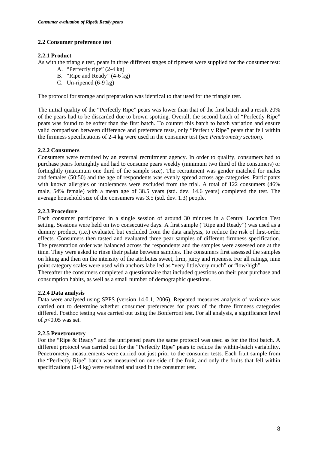### **2.2 Consumer preference test**

### **2.2.1 Product**

As with the triangle test, pears in three different stages of ripeness were supplied for the consumer test:

- A. "Perfectly ripe" (2-4 kg)
- B. "Ripe and Ready" (4-6 kg)
- C. Un-ripened (6-9 kg)

The protocol for storage and preparation was identical to that used for the triangle test.

The initial quality of the "Perfectly Ripe" pears was lower than that of the first batch and a result 20% of the pears had to be discarded due to brown spotting. Overall, the second batch of "Perfectly Ripe" pears was found to be softer than the first batch. To counter this batch to batch variation and ensure valid comparison between difference and preference tests, only "Perfectly Ripe" pears that fell within the firmness specifications of 2-4 kg were used in the consumer test (*see Penetrometry section*).

### **2.2.2 Consumers**

Consumers were recruited by an external recruitment agency. In order to qualify, consumers had to purchase pears fortnightly and had to consume pears weekly (minimum two third of the consumers) or fortnightly (maximum one third of the sample size). The recruitment was gender matched for males and females (50:50) and the age of respondents was evenly spread across age categories. Participants with known allergies or intolerances were excluded from the trial. A total of 122 consumers (46% male, 54% female) with a mean age of 38.5 years (std. dev. 14.6 years) completed the test. The average household size of the consumers was 3.5 (std. dev. 1.3) people.

### **2.2.3 Procedure**

Each consumer participated in a single session of around 30 minutes in a Central Location Test setting. Sessions were held on two consecutive days. A first sample ("Ripe and Ready") was used as a dummy product, (i.e.) evaluated but excluded from the data analysis, to reduce the risk of first-order effects. Consumers then tasted and evaluated three pear samples of different firmness specification. The presentation order was balanced across the respondents and the samples were assessed one at the time. They were asked to rinse their palate between samples. The consumers first assessed the samples on liking and then on the intensity of the attributes sweet, firm, juicy and ripeness. For all ratings, nine point category scales were used with anchors labelled as "very little/very much" or "low/high". Thereafter the consumers completed a questionnaire that included questions on their pear purchase and consumption habits, as well as a small number of demographic questions.

### **2.2.4 Data analysis**

Data were analysed using SPPS (version 14.0.1, 2006). Repeated measures analysis of variance was carried out to determine whether consumer preferences for pears of the three firmness categories differed. Posthoc testing was carried out using the Bonferroni test. For all analysis, a significance level of *p*<0.05 was set.

### **2.2.5 Penetrometry**

For the "Ripe & Ready" and the unripened pears the same protocol was used as for the first batch. A different protocol was carried out for the "Perfectly Ripe" pears to reduce the within-batch variability. Penetrometry measurements were carried out just prior to the consumer tests. Each fruit sample from the "Perfectly Ripe" batch was measured on one side of the fruit, and only the fruits that fell within specifications (2-4 kg) were retained and used in the consumer test.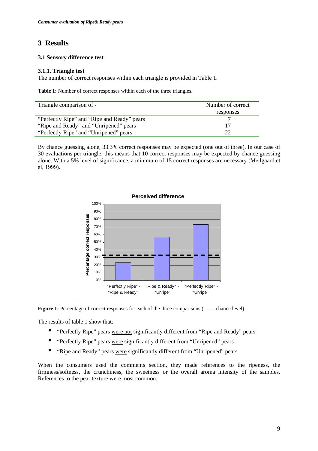### **3 Results**

### **3.1 Sensory difference test**

### **3.1.1. Triangle test**

The number of correct responses within each triangle is provided in Table 1.

**Table 1:** Number of correct responses within each of the three triangles.

| Triangle comparison of -                    | Number of correct |
|---------------------------------------------|-------------------|
|                                             | responses         |
| "Perfectly Ripe" and "Ripe and Ready" pears |                   |
| "Ripe and Ready" and "Unripened" pears      |                   |
| "Perfectly Ripe" and "Unripened" pears      | つつ                |

By chance guessing alone, 33.3% correct responses may be expected (one out of three). In our case of 30 evaluations per triangle, this means that 10 correct responses may be expected by chance guessing alone. With a 5% level of significance, a minimum of 15 correct responses are necessary (Meilgaard et al, 1999).



**Figure 1:** Percentage of correct responses for each of the three comparisons ( $---$  = chance level).

The results of table 1 show that:

- "Perfectly Ripe" pears were not significantly different from "Ripe and Ready" pears
- "Perfectly Ripe" pears were significantly different from "Unripened" pears
- "Ripe and Ready" pears were significantly different from "Unripened" pears

When the consumers used the comments section, they made references to the ripeness, the firmness/softness, the crunchiness, the sweetness or the overall aroma intensity of the samples. References to the pear texture were most common.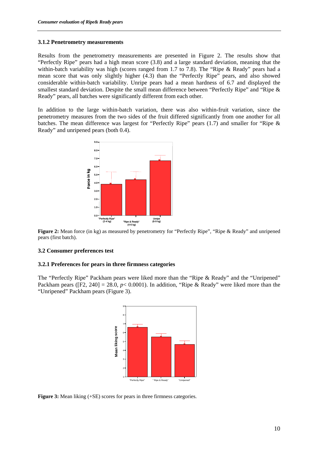#### **3.1.2 Penetrometry measurements**

Results from the penetrometry measurements are presented in Figure 2. The results show that "Perfectly Ripe" pears had a high mean score (3.8) and a large standard deviation, meaning that the within-batch variability was high (scores ranged from 1.7 to 7.8). The "Ripe & Ready" pears had a mean score that was only slightly higher (4.3) than the "Perfectly Ripe" pears, and also showed considerable within-batch variability. Unripe pears had a mean hardness of 6.7 and displayed the smallest standard deviation. Despite the small mean difference between "Perfectly Ripe" and "Ripe & Ready" pears, all batches were significantly different from each other.

In addition to the large within-batch variation, there was also within-fruit variation, since the penetrometry measures from the two sides of the fruit differed significantly from one another for all batches. The mean difference was largest for "Perfectly Ripe" pears (1.7) and smaller for "Ripe & Ready" and unripened pears (both 0.4).



**Figure 2:** Mean force (in kg) as measured by penetrometry for "Perfectly Ripe", "Ripe & Ready" and unripened pears (first batch).

### **3.2 Consumer preferences test**

### **3.2.1 Preferences for pears in three firmness categories**

The "Perfectly Ripe" Packham pears were liked more than the "Ripe & Ready" and the "Unripened" Packham pears ([F2, 240] = 28.0, *p*< 0.0001). In addition, "Ripe & Ready" were liked more than the "Unripened" Packham pears (Figure 3).



**Figure 3:** Mean liking (+SE) scores for pears in three firmness categories.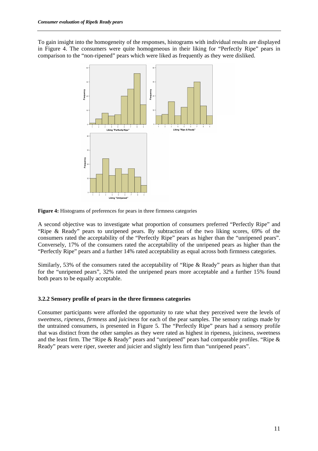To gain insight into the homogeneity of the responses, histograms with individual results are displayed in Figure 4. The consumers were quite homogeneous in their liking for "Perfectly Ripe" pears in comparison to the "non-ripened" pears which were liked as frequently as they were disliked.



**Figure 4:** Histograms of preferences for pears in three firmness categories

A second objective was to investigate what proportion of consumers preferred "Perfectly Ripe" and "Ripe & Ready" pears to unripened pears. By subtraction of the two liking scores, 69% of the consumers rated the acceptability of the "Perfectly Ripe" pears as higher than the "unripened pears". Conversely, 17% of the consumers rated the acceptability of the unripened pears as higher than the "Perfectly Ripe" pears and a further 14% rated acceptability as equal across both firmness categories.

Similarly, 53% of the consumers rated the acceptability of "Ripe & Ready" pears as higher than that for the "unripened pears", 32% rated the unripened pears more acceptable and a further 15% found both pears to be equally acceptable.

### **3.2.2 Sensory profile of pears in the three firmness categories**

Consumer participants were afforded the opportunity to rate what they perceived were the levels of *sweetness*, *ripeness*, *firmness* and *juiciness* for each of the pear samples. The sensory ratings made by the untrained consumers, is presented in Figure 5. The "Perfectly Ripe" pears had a sensory profile that was distinct from the other samples as they were rated as highest in ripeness, juiciness, sweetness and the least firm. The "Ripe & Ready" pears and "unripened" pears had comparable profiles. "Ripe & Ready" pears were riper, sweeter and juicier and slightly less firm than "unripened pears".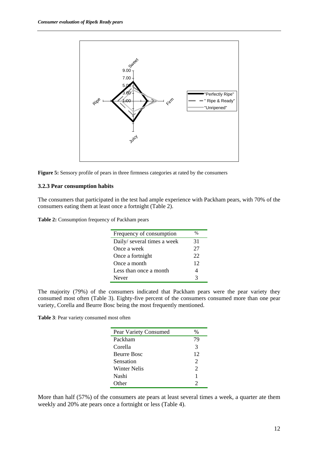



### **3.2.3 Pear consumption habits**

The consumers that participated in the test had ample experience with Packham pears, with 70% of the consumers eating them at least once a fortnight (Table 2).

**Table 2:** Consumption frequency of Packham pears

| Frequency of consumption    | $\frac{0}{6}$ |
|-----------------------------|---------------|
| Daily/ several times a week | 31            |
| Once a week                 | 27            |
| Once a fortnight            | 22            |
| Once a month                | 12            |
| Less than once a month      |               |
| Never                       | 3             |

The majority (79%) of the consumers indicated that Packham pears were the pear variety they consumed most often (Table 3). Eighty-five percent of the consumers consumed more than one pear variety, Corella and Beurre Bosc being the most frequently mentioned.

**Table 3**: Pear variety consumed most often

| Pear Variety Consumed | %                     |
|-----------------------|-----------------------|
| Packham               | 79                    |
| Corella               | 3                     |
| <b>Beurre Bosc</b>    | 12                    |
| Sensation             | 2                     |
| <b>Winter Nelis</b>   | $\mathcal{D}_{\cdot}$ |
| Nashi                 |                       |
| )ther                 | 2                     |

More than half (57%) of the consumers ate pears at least several times a week, a quarter ate them weekly and 20% ate pears once a fortnight or less (Table 4).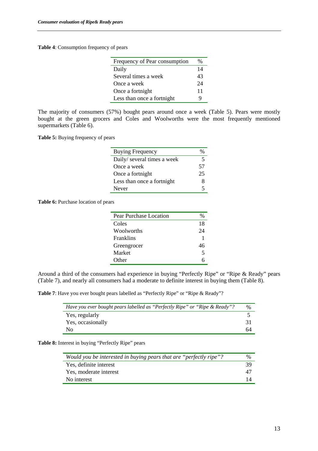**Table 4**: Consumption frequency of pears

| Frequency of Pear consumption | %  |
|-------------------------------|----|
| Daily                         | 14 |
| Several times a week          | 43 |
| Once a week                   | 24 |
| Once a fortnight              | 11 |
| Less than once a fortnight    | Q  |

The majority of consumers (57%) bought pears around once a week (Table 5). Pears were mostly bought at the green grocers and Coles and Woolworths were the most frequently mentioned supermarkets (Table 6).

**Table 5:** Buying frequency of pears

| <b>Buying Frequency</b>     |    |
|-----------------------------|----|
| Daily/ several times a week | 5  |
| Once a week                 | 57 |
| Once a fortnight            | 25 |
| Less than once a fortnight  | 8  |
| Never                       | 5  |

**Table 6:** Purchase location of pears

| Pear Purchase Location | %  |
|------------------------|----|
| Coles                  | 18 |
| Woolworths             | 24 |
| <b>Franklins</b>       |    |
| Greengrocer            | 46 |
| Market                 | 5  |
| Other                  |    |

Around a third of the consumers had experience in buying "Perfectly Ripe" or "Ripe & Ready" pears (Table 7), and nearly all consumers had a moderate to definite interest in buying them (Table 8).

**Table 7**: Have you ever bought pears labelled as "Perfectly Ripe" or "Ripe & Ready"?

| Have you ever bought pears labelled as "Perfectly Ripe" or "Ripe & Ready"? | %  |
|----------------------------------------------------------------------------|----|
| Yes, regularly                                                             |    |
| Yes, occasionally                                                          |    |
| No                                                                         | 64 |

Table 8: Interest in buying "Perfectly Ripe" pears

| Would you be interested in buying pears that are "perfectly ripe"? | $\%$ |
|--------------------------------------------------------------------|------|
| Yes, definite interest                                             | 39   |
| Yes, moderate interest                                             | 47   |
| No interest                                                        | 14   |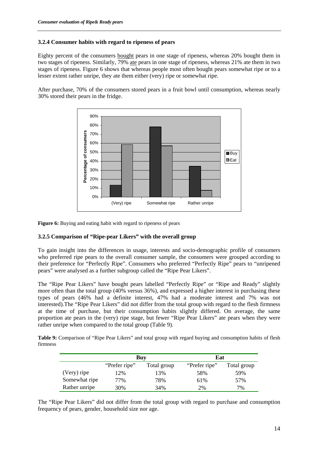### **3.2.4 Consumer habits with regard to ripeness of pears**

Eighty percent of the consumers bought pears in one stage of ripeness, whereas 20% bought them in two stages of ripeness. Similarly, 79% ate pears in one stage of ripeness, whereas 21% ate them in two stages of ripeness. Figure 6 shows that whereas people most often bought pears somewhat ripe or to a lesser extent rather unripe, they ate them either (very) ripe or somewhat ripe.

After purchase, 70% of the consumers stored pears in a fruit bowl until consumption, whereas nearly 30% stored their pears in the fridge.



Figure 6: Buying and eating habit with regard to ripeness of pears

### **3.2.5 Comparison of "Ripe-pear Likers" with the overall group**

To gain insight into the differences in usage, interests and socio-demographic profile of consumers who preferred ripe pears to the overall consumer sample, the consumers were grouped according to their preference for "Perfectly Ripe". Consumers who preferred "Perfectly Ripe" pears to "unripened pears" were analysed as a further subgroup called the "Ripe Pear Likers".

The "Ripe Pear Likers" have bought pears labelled "Perfectly Ripe" or "Ripe and Ready" slightly more often than the total group (40% versus 36%), and expressed a higher interest in purchasing these types of pears (46% had a definite interest, 47% had a moderate interest and 7% was not interested).The "Ripe Pear Likers" did not differ from the total group with regard to the flesh firmness at the time of purchase, but their consumption habits slightly differed. On average, the same proportion ate pears in the (very) ripe stage, but fewer "Ripe Pear Likers" ate pears when they were rather unripe when compared to the total group (Table 9).

**Table 9:** Comparison of "Ripe Pear Likers" and total group with regard buying and consumption habits of flesh firmness

|               | Buy           |             | Eat           |             |
|---------------|---------------|-------------|---------------|-------------|
|               | "Prefer ripe" | Total group | "Prefer ripe" | Total group |
| (Very) ripe   | 12%           | 13%         | 58%           | 59%         |
| Somewhat ripe | 77%           | 78%         | 61%           | 57%         |
| Rather unripe | 30%           | 34%         | 2%            | 7%          |

The "Ripe Pear Likers" did not differ from the total group with regard to purchase and consumption frequency of pears, gender, household size nor age.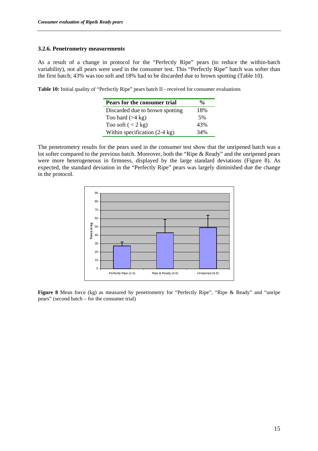#### **3.2.6. Penetrometry measurements**

As a result of a change in protocol for the "Perfectly Ripe" pears (to reduce the within-batch variability), not all pears were used in the consumer test. This "Perfectly Ripe" batch was softer than the first batch; 43% was too soft and 18% had to be discarded due to brown spotting (Table 10).

**Table 10:** Initial quality of "Perfectly Ripe" pears batch II - received for consumer evaluations

| Pears for the consumer trial            | $\frac{0}{\alpha}$ |
|-----------------------------------------|--------------------|
| Discarded due to brown spotting         | 18%                |
| Too hard $(>4 \text{ kg})$              | .5%                |
| Too soft $(< 2 \text{ kg})$             | 43%                |
| Within specification $(2-4 \text{ kg})$ | 34%                |

The penetrometry results for the pears used in the consumer test show that the unripened batch was a lot softer compared to the previous batch. Moreover, both the "Ripe & Ready" and the unripened pears were more heterogeneous in firmness, displayed by the large standard deviations (Figure 8). As expected, the standard deviation in the "Perfectly Ripe" pears was largely diminished due the change in the protocol.



**Figure 8** Mean force (kg) as measured by penetrometry for "Perfectly Ripe", "Ripe & Ready" and "unripe pears" (second batch – for the consumer trial)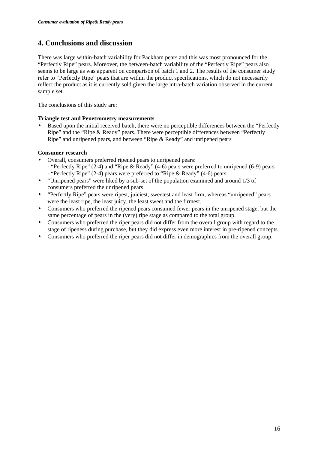### **4. Conclusions and discussion**

There was large within-batch variability for Packham pears and this was most pronounced for the "Perfectly Ripe" pears. Moreover, the between-batch variability of the "Perfectly Ripe" pears also seems to be large as was apparent on comparison of batch 1 and 2. The results of the consumer study refer to "Perfectly Ripe" pears that are within the product specifications, which do not necessarily reflect the product as it is currently sold given the large intra-batch variation observed in the current sample set.

The conclusions of this study are:

### **Triangle test and Penetrometry measurements**

• Based upon the initial received batch, there were no perceptible differences between the "Perfectly Ripe" and the "Ripe & Ready" pears. There were perceptible differences between "Perfectly Ripe" and unripened pears, and between "Ripe & Ready" and unripened pears

### **Consumer research**

- Overall, consumers preferred ripened pears to unripened pears:
	- "Perfectly Ripe" (2-4) and "Ripe & Ready" (4-6) pears were preferred to unripened (6-9) pears - "Perfectly Ripe" (2-4) pears were preferred to "Ripe & Ready" (4-6) pears
- "Unripened pears" were liked by a sub-set of the population examined and around 1/3 of consumers preferred the unripened pears
- "Perfectly Ripe" pears were ripest, juiciest, sweetest and least firm, whereas "unripened" pears were the least ripe, the least juicy, the least sweet and the firmest.
- Consumers who preferred the ripened pears consumed fewer pears in the unripened stage, but the same percentage of pears in the (very) ripe stage as compared to the total group.
- Consumers who preferred the riper pears did not differ from the overall group with regard to the stage of ripeness during purchase, but they did express even more interest in pre-ripened concepts.
- Consumers who preferred the riper pears did not differ in demographics from the overall group.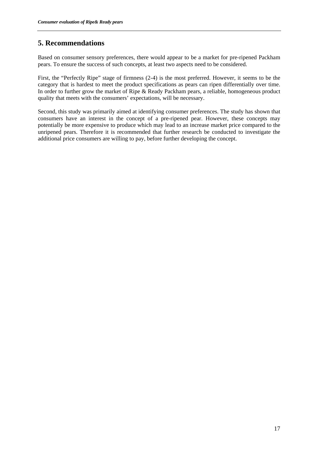### **5. Recommendations**

Based on consumer sensory preferences, there would appear to be a market for pre-ripened Packham pears. To ensure the success of such concepts, at least two aspects need to be considered.

First, the "Perfectly Ripe" stage of firmness (2-4) is the most preferred. However, it seems to be the category that is hardest to meet the product specifications as pears can ripen differentially over time. In order to further grow the market of Ripe & Ready Packham pears, a reliable, homogeneous product quality that meets with the consumers' expectations, will be necessary.

Second, this study was primarily aimed at identifying consumer preferences. The study has shown that consumers have an interest in the concept of a pre-ripened pear. However, these concepts may potentially be more expensive to produce which may lead to an increase market price compared to the unripened pears. Therefore it is recommended that further research be conducted to investigate the additional price consumers are willing to pay, before further developing the concept.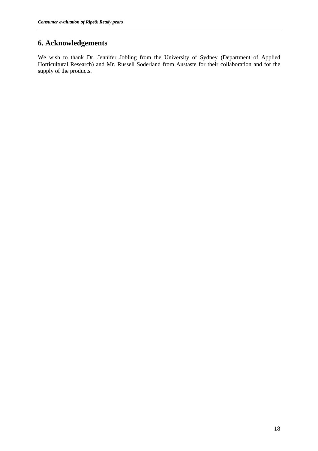### **6. Acknowledgements**

We wish to thank Dr. Jennifer Jobling from the University of Sydney (Department of Applied Horticultural Research) and Mr. Russell Soderland from Austaste for their collaboration and for the supply of the products.